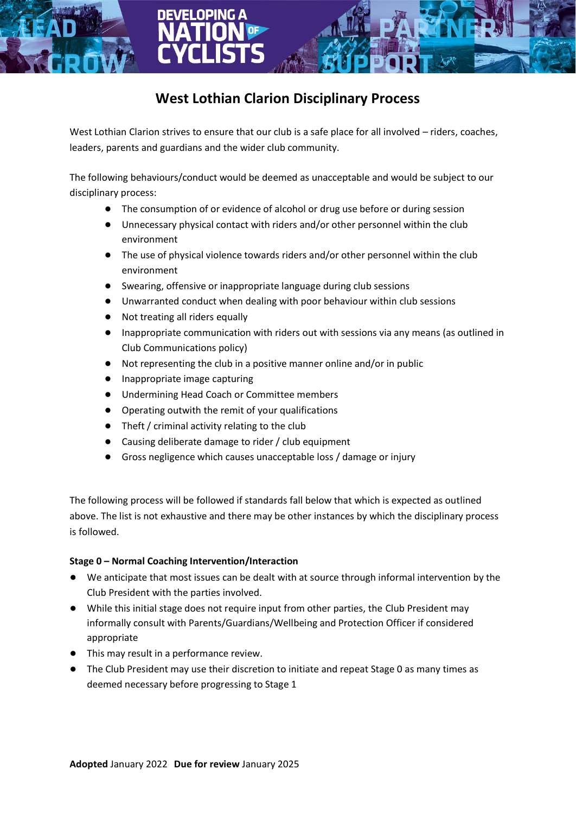# **West Lothian Clarion Disciplinary Process**

West Lothian Clarion strives to ensure that our club is a safe place for all involved – riders, coaches, leaders, parents and guardians and the wider club community.

The following behaviours/conduct would be deemed as unacceptable and would be subject to our disciplinary process:

- The consumption of or evidence of alcohol or drug use before or during session
- Unnecessary physical contact with riders and/or other personnel within the club environment
- The use of physical violence towards riders and/or other personnel within the club environment
- Swearing, offensive or inappropriate language during club sessions
- Unwarranted conduct when dealing with poor behaviour within club sessions
- Not treating all riders equally
- Inappropriate communication with riders out with sessions via any means (as outlined in Club Communications policy)
- Not representing the club in a positive manner online and/or in public
- Inappropriate image capturing
- Undermining Head Coach or Committee members
- Operating outwith the remit of your qualifications
- Theft / criminal activity relating to the club
- Causing deliberate damage to rider / club equipment
- Gross negligence which causes unacceptable loss / damage or injury

The following process will be followed if standards fall below that which is expected as outlined above. The list is not exhaustive and there may be other instances by which the disciplinary process is followed.

## **Stage 0 – Normal Coaching Intervention/Interaction**

- We anticipate that most issues can be dealt with at source through informal intervention by the Club President with the parties involved.
- While this initial stage does not require input from other parties, the Club President may informally consult with Parents/Guardians/Wellbeing and Protection Officer if considered appropriate
- This may result in a performance review.
- The Club President may use their discretion to initiate and repeat Stage 0 as many times as deemed necessary before progressing to Stage 1